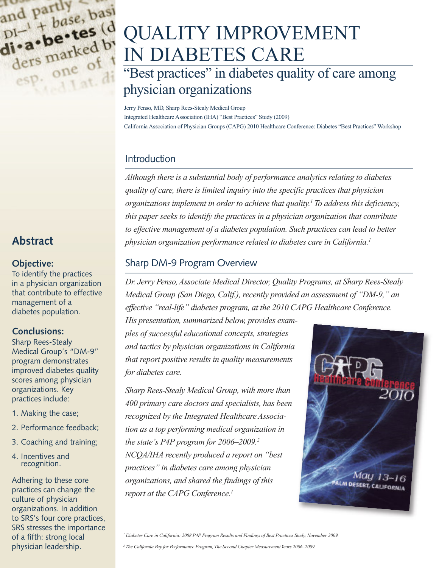

## **Abstract**

#### **Objective:**

To identify the practices in a physician organization that contribute to effective management of a diabetes population.

### **Conclusions:**

Sharp Rees-Stealy Medical Group's "DM-9" program demonstrates improved diabetes quality scores among physician organizations. Key practices include:

- 1. Making the case;
- 2. Performance feedback;
- 3. Coaching and training;
- 4. Incentives and recognition.

Adhering to these core practices can change the culture of physician organizations. In addition to SRS's four core practices, SRS stresses the importance of a fifth: strong local physician leadership.

# QUALITY IMPROVEMENT IN DIABETES CARE

## "Best practices" in diabetes quality of care among physician organizations

Jerry Penso, MD, Sharp Rees-Stealy Medical Group Integrated Healthcare Association (IHA) "Best Practices" Study (2009) California Association of Physician Groups (CAPG) 2010 Healthcare Conference: Diabetes "Best Practices" Workshop

## Introduction

*Although there is a substantial body of performance analytics relating to diabetes quality of care, there is limited inquiry into the specific practices that physician organizations implement in order to achieve that quality. <sup>1</sup> To address this deficiency, this paper seeks to identify the practices in a physician organization that contribute to effective management of a diabetes population. Such practices can lead to better physician organization performance related to diabetes care in California. 1*

## Sharp DM-9 Program Overview

*Dr. Jerry Penso,Associate Medical Director, Quality Programs, at Sharp Rees-Stealy Medical Group (San Diego, Calif.), recently provided an assessment of "DM-9," an effective "real-life" diabetes program, at the 2010 CAPG Healthcare Conference.*

*His presentation, summarized below, provides examples of successful educational concepts, strategies and tactics by physician organizations in California that report positive results in quality measurements for diabetes care.*

*Sharp Rees-Stealy Medical Group, with more than 400 primary care doctors and specialists, has been recognized by the Integrated Healthcare Association as a top performing medical organization in the state's P4P program for 2006–2009. 2 NCQA/IHA recently produced a report on "best practices" in diabetes care among physician organizations, and shared the findings of this report at the CAPG Conference. 1*



<sup>1</sup> Diabetes Care in California: 2008 P4P Program Results and Findings of Best Practices Study, November 2009.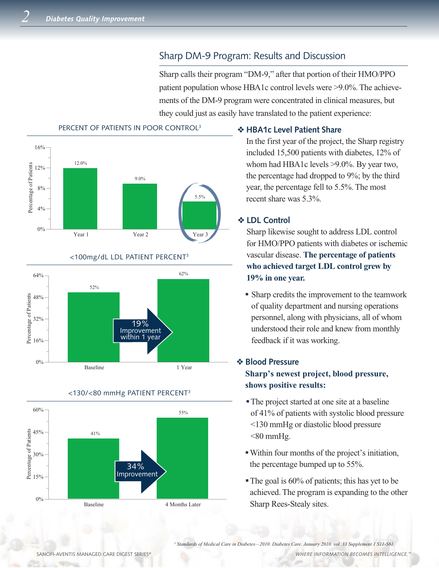## Sharp DM-9 Program: Results and Discussion

Sharp calls their program "DM-9," after that portion of their HMO/PPO patient population whose HBA1c control levels were >9.0%. The achievements of the DM-9 program were concentrated in clinical measures, but they could just as easily have translated to the patient experience:



<100mg/dL LDL PATIENT PERCENT3

#### 0% 16% 32% 48% 64% Percentage of Patients Baseline 1 Year 52% 62% 19% Improvement within 1 year



#### <130/<80 mmHg PATIENT PERCENT3

#### v **HBA1c Level Patient Share**

In the first year of the project, the Sharp registry included 15,500 patients with diabetes, 12% of whom had HBA1c levels >9.0%. By year two, the percentage had dropped to 9%; by the third year, the percentage fell to 5.5%. The most recent share was 5.3%.

#### v **LDL Control**

Sharp likewise sought to address LDL control for HMO/PPO patients with diabetes or ischemic vascular disease. **The percentage of patients who achieved target LDL control grew by 19% in one year.**

<sup>n</sup> Sharp credits the improvement to the teamwork of quality department and nursing operations personnel, along with physicians, all of whom understood their role and knew from monthly feedback if it was working.

## v **Blood Pressure**

### **Sharp's newest project, blood pressure, shows positive results:**

- <sup>n</sup> The project started at one site at a baseline of 41% of patients with systolic blood pressure <130 mmHg or diastolic blood pressure  $<80$  mmHg.
- <sup>n</sup> Within four months of the project's initiation, the percentage bumped up to 55%.
- $\blacksquare$  The goal is 60% of patients; this has yet to be achieved. The program is expanding to the other Sharp Rees-Stealy sites.

™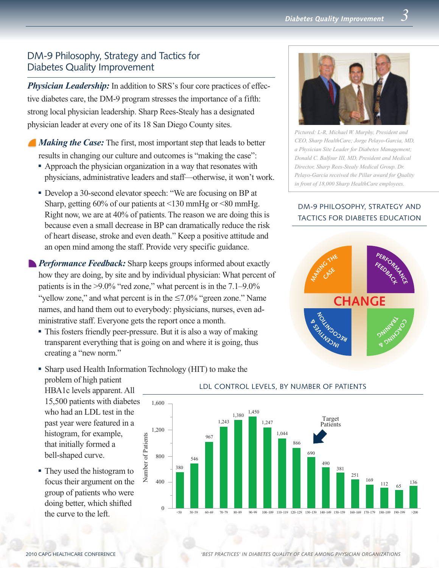## DM-9 Philosophy, Strategy and Tactics for Diabetes Quality Improvement

*Physician Leadership:* In addition to SRS's four core practices of effective diabetes care, the DM-9 program stresses the importance of a fifth: strong local physician leadership. Sharp Rees-Stealy has a designated physician leader at every one of its 18 San Diego County sites.

*Making the Case:* The first, most important step that leads to better results in changing our culture and outcomes is "making the case":

- <sup>n</sup> Approach the physician organization in a way that resonates with physicians, administrative leaders and staff—otherwise, it won't work.
- <sup>n</sup> Develop a 30-second elevator speech: "We are focusing on BP at Sharp, getting 60% of our patients at <130 mmHg or <80 mmHg. Right now, we are at 40% of patients. The reason we are doing this is because even a small decrease in BP can dramatically reduce the risk of heart disease, stroke and even death." Keep a positive attitude and an open mind among the staff. Provide very specific guidance.
- **Performance Feedback:** Sharp keeps groups informed about exactly how they are doing, by site and by individual physician: What percent of patients is in the >9.0% "red zone," what percent is in the 7.1–9.0% "yellow zone," and what percent is in the  $\leq 7.0\%$  "green zone." Name names, and hand them out to everybody: physicians, nurses, even administrative staff. Everyone gets the report once a month.
	- This fosters friendly peer-pressure. But it is also a way of making transparent everything that is going on and where it is going, thus creating a "new norm."



*Pictured: L-R, Michael W. Murphy, President and CEO, Sharp HealthCare; Jorge Pelayo-Garcia, MD, a Physician Site Leader for Diabetes Management; Donald C. Balfour III, MD, President and Medical Director, Sharp Rees-Stealy Medical Group. Dr. Pelayo-Garcia received the Pillar award for Quality in front of 18,000 Sharp HealthCare employees.*

#### DM-9 PHILOSOPHY, STRATEGY AND TACTICS FOR DIABETES EDUCATION





• They used the histogram to focus their argument on the group of patients who were doing better, which shifted the curve to the left.

that initially formed a bell-shaped curve.

## • Sharp used Health Information Technology (HIT) to make the



#### LDL CONTROL LEVELS, BY NUMBER OF PATIENTS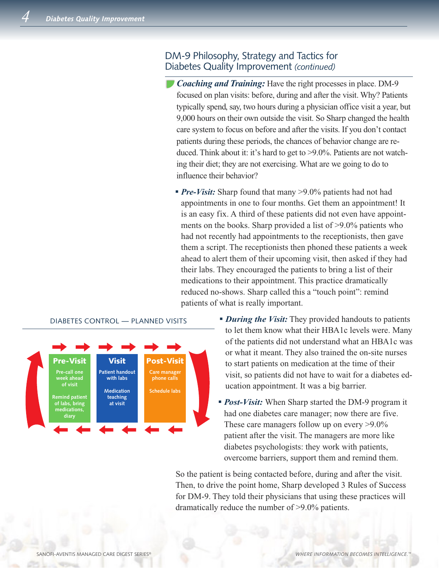## DM-9 Philosophy, Strategy and Tactics for Diabetes Quality Improvement *(continued)*

*Coaching and Training:* Have the right processes in place. DM-9 focused on plan visits: before, during and after the visit. Why? Patients typically spend, say, two hours during a physician office visit a year, but 9,000 hours on their own outside the visit. So Sharp changed the health care system to focus on before and after the visits. If you don't contact patients during these periods, the chances of behavior change are reduced. Think about it: it's hard to get to >9.0%. Patients are not watching their diet; they are not exercising. What are we going to do to influence their behavior?

• *Pre-Visit:* Sharp found that many >9.0% patients had not had appointments in one to four months. Get them an appointment! It is an easy fix. A third of these patients did not even have appointments on the books. Sharp provided a list of >9.0% patients who had not recently had appointments to the receptionists, then gave them a script. The receptionists then phoned these patients a week ahead to alert them of their upcoming visit, then asked if they had their labs. They encouraged the patients to bring a list of their medications to their appointment. This practice dramatically reduced no-shows. Sharp called this a "touch point": remind patients of what is really important.



#### DIABETES CONTROL — PLANNED VISITS

- **During the Visit:** They provided handouts to patients to let them know what their HBA1c levels were. Many of the patients did not understand what an HBA1c was or what it meant. They also trained the on-site nurses to start patients on medication at the time of their visit, so patients did not have to wait for a diabetes education appointment. It was a big barrier.
- *Post-Visit:* When Sharp started the DM-9 program it had one diabetes care manager; now there are five. These care managers follow up on every >9.0% patient after the visit. The managers are more like diabetes psychologists: they work with patients, overcome barriers, support them and remind them.

So the patient is being contacted before, during and after the visit. Then, to drive the point home, Sharp developed 3 Rules of Success for DM-9. They told their physicians that using these practices will dramatically reduce the number of >9.0% patients.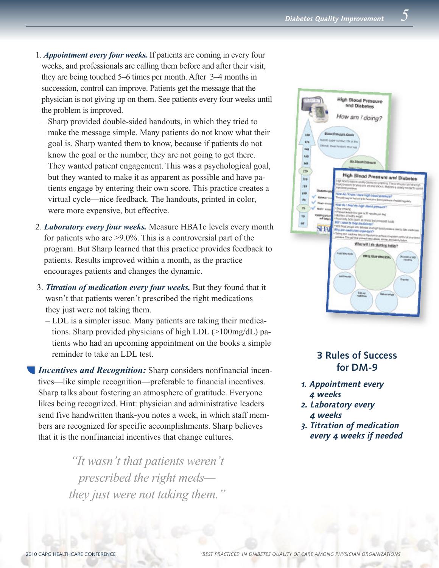- 1. *Appointment every four weeks.* If patients are coming in every four weeks, and professionals are calling them before and after their visit, they are being touched 5–6 times per month. After 3–4 months in succession, control can improve. Patients get the message that the physician is not giving up on them. See patients every four weeks until the problem is improved.
	- Sharp provided double-sided handouts, in which they tried to make the message simple. Many patients do not know what their goal is. Sharp wanted them to know, because if patients do not know the goal or the number, they are not going to get there. They wanted patient engagement. This was a psychological goal, but they wanted to make it as apparent as possible and have patients engage by entering their own score. This practice creates a virtual cycle—nice feedback. The handouts, printed in color, were more expensive, but effective.
- 2. *Laboratory every four weeks.* Measure HBA1c levels every month for patients who are >9.0%. This is a controversial part of the program. But Sharp learned that this practice provides feedback to patients. Results improved within a month, as the practice encourages patients and changes the dynamic.
- 3. *Titration of medication every four weeks.* But they found that it wasn't that patients weren't prescribed the right medications they just were not taking them.
	- LDL is a simpler issue. Many patients are taking their medications. Sharp provided physicians of high LDL (>100mg/dL) patients who had an upcoming appointment on the books a simple reminder to take an LDL test.

*Incentives and Recognition:* Sharp considers nonfinancial incentives—like simple recognition—preferable to financial incentives. Sharp talks about fostering an atmosphere of gratitude. Everyone likes being recognized. Hint: physician and administrative leaders send five handwritten thank-you notes a week, in which staff members are recognized for specific accomplishments. Sharp believes that it is the nonfinancial incentives that change cultures.

> *"It wasn't that patients weren't prescribed the right meds they just were not taking them."*



## **3 Rules of Success for DM-9**

- *1. Appointment every 4 weeks*
- *2. Laboratory every 4 weeks*
- *3. Titration of medication every 4 weeks if needed*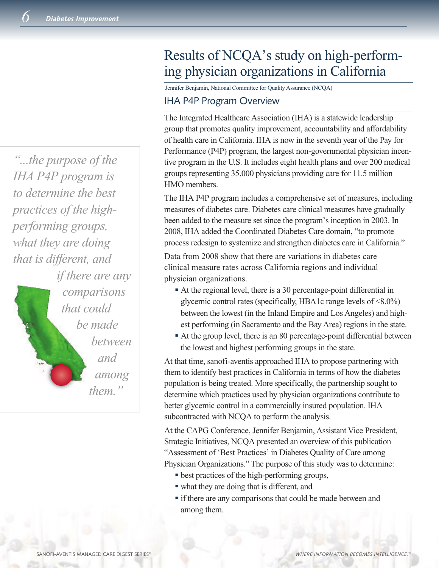*"...the purpose of the IHA P4P program is to determine the best practices of the highperforming groups, what they are doing that is different, and if there are any comparisons that could be made between and among them."*

## Results of NCQA's study on high-performing physician organizations in California

Jennifer Benjamin, National Committee for Quality Assurance (NCQA)

#### IHA P4P Program Overview

The Integrated Healthcare Association (IHA) is a statewide leadership group that promotes quality improvement, accountability and affordability of health care in California. IHA is now in the seventh year of the Pay for Performance (P4P) program, the largest non-governmental physician incentive program in the U.S. It includes eight health plans and over 200 medical groups representing 35,000 physicians providing care for 11.5 million HMO members.

The IHA P4P program includes a comprehensive set of measures, including measures of diabetes care. Diabetes care clinical measures have gradually been added to the measure set since the program's inception in 2003. In 2008, IHA added the Coordinated Diabetes Care domain, "to promote process redesign to systemize and strengthen diabetes care in California."

Data from 2008 show that there are variations in diabetes care clinical measure rates across California regions and individual physician organizations.

- <sup>n</sup> At the regional level, there is a 30 percentage-point differential in glycemic control rates (specifically, HBA1c range levels of <8.0%) between the lowest (in the Inland Empire and Los Angeles) and highest performing (in Sacramento and the Bay Area) regions in the state.
- <sup>n</sup> At the group level, there is an 80 percentage-point differential between the lowest and highest performing groups in the state.

At that time, sanofi-aventis approached IHA to propose partnering with them to identify best practices in California in terms of how the diabetes population is being treated. More specifically, the partnership sought to determine which practices used by physician organizations contribute to better glycemic control in a commercially insured population. IHA subcontracted with NCQA to perform the analysis.

At the CAPG Conference, Jennifer Benjamin, Assistant Vice President, Strategic Initiatives, NCQA presented an overview of this publication "Assessment of 'Best Practices' in Diabetes Quality of Care among Physician Organizations." The purpose of this study was to determine:

- best practices of the high-performing groups,
- what they are doing that is different, and
- If there are any comparisons that could be made between and among them.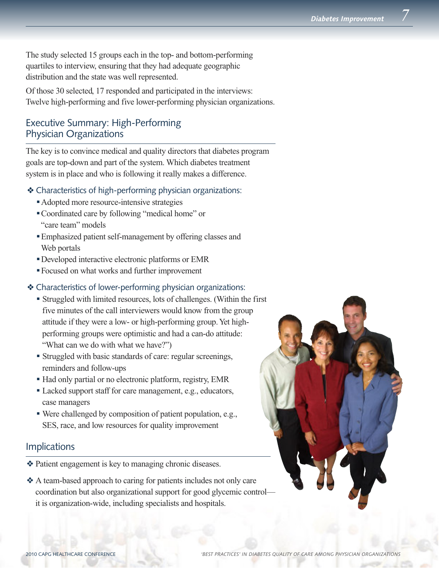The study selected 15 groups each in the top- and bottom-performing quartiles to interview, ensuring that they had adequate geographic distribution and the state was well represented.

Of those 30 selected, 17 responded and participated in the interviews: Twelve high-performing and five lower-performing physician organizations.

## Executive Summary: High-Performing Physician Organizations

The key is to convince medical and quality directors that diabetes program goals are top-down and part of the system. Which diabetes treatment system is in place and who is following it really makes a difference.

- $\triangleleft$  Characteristics of high-performing physician organizations:
	- Adopted more resource-intensive strategies
	- <sup>n</sup> Coordinated care by following "medical home" or "care team" models
	- <sup>n</sup> Emphasized patient self-management by offering classes and Web portals
	- <sup>n</sup> Developed interactive electronic platforms or EMR
	- <sup>n</sup> Focused on what works and further improvement

#### \* Characteristics of lower-performing physician organizations:

- <sup>n</sup> Struggled with limited resources, lots of challenges. (Within the first five minutes of the call interviewers would know from the group attitude if they were a low- or high-performing group. Yet highperforming groups were optimistic and had a can-do attitude: "What can we do with what we have?")
- <sup>n</sup> Struggled with basic standards of care: regular screenings, reminders and follow-ups
- <sup>n</sup> Had only partial or no electronic platform, registry, EMR
- <sup>n</sup> Lacked support staff for care management, e.g., educators, case managers
- <sup>n</sup> Were challenged by composition of patient population, e.g., SES, race, and low resources for quality improvement

### **Implications**

- v Patient engagement is key to managing chronic diseases.
- v A team-based approach to caring for patients includes not only care coordination but also organizational support for good glycemic control it is organization-wide, including specialists and hospitals.